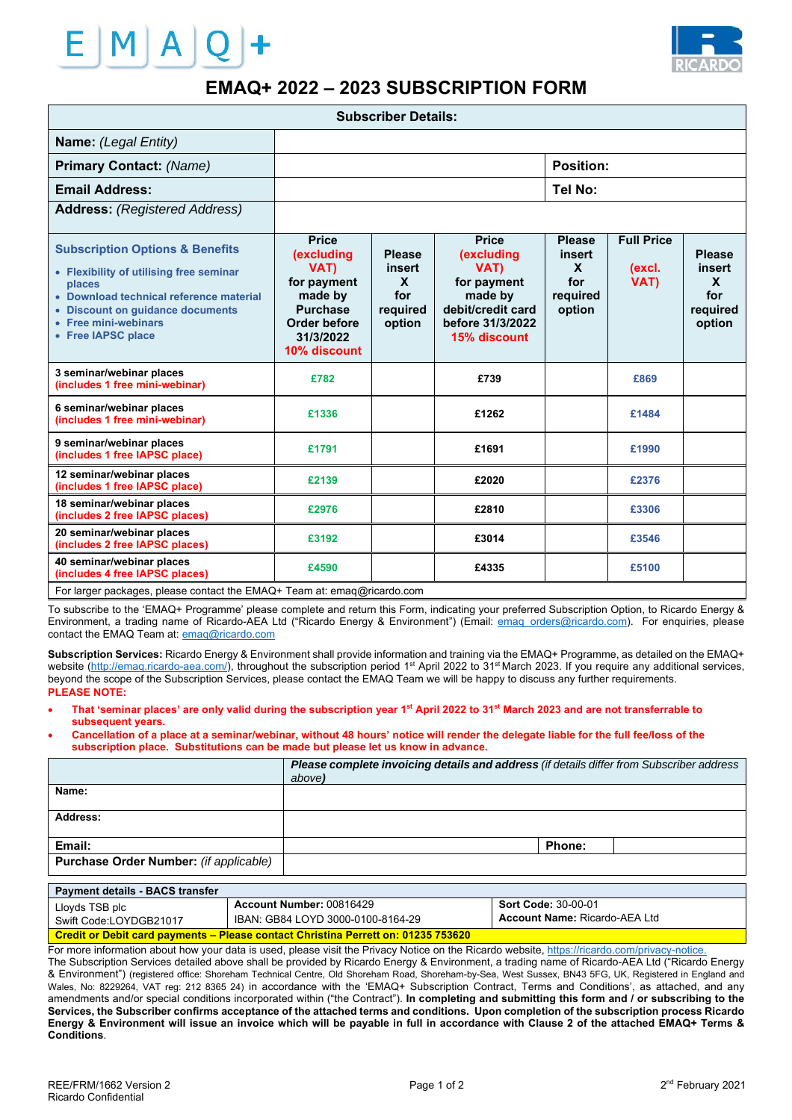



# **EMAQ+ 2022 – 2023 SUBSCRIPTION FORM**

| <b>Subscriber Details:</b>                                                                                                                                                                                                   |                                                                                                                                      |                                                                      |                                                                                                                       |                                                           |                                     |                                                                  |  |
|------------------------------------------------------------------------------------------------------------------------------------------------------------------------------------------------------------------------------|--------------------------------------------------------------------------------------------------------------------------------------|----------------------------------------------------------------------|-----------------------------------------------------------------------------------------------------------------------|-----------------------------------------------------------|-------------------------------------|------------------------------------------------------------------|--|
| Name: (Legal Entity)                                                                                                                                                                                                         |                                                                                                                                      |                                                                      |                                                                                                                       |                                                           |                                     |                                                                  |  |
| <b>Primary Contact: (Name)</b>                                                                                                                                                                                               |                                                                                                                                      |                                                                      |                                                                                                                       | <b>Position:</b>                                          |                                     |                                                                  |  |
| <b>Email Address:</b>                                                                                                                                                                                                        |                                                                                                                                      |                                                                      |                                                                                                                       | Tel No:                                                   |                                     |                                                                  |  |
| <b>Address:</b> (Registered Address)                                                                                                                                                                                         |                                                                                                                                      |                                                                      |                                                                                                                       |                                                           |                                     |                                                                  |  |
| <b>Subscription Options &amp; Benefits</b><br>• Flexibility of utilising free seminar<br>places<br>• Download technical reference material<br>• Discount on quidance documents<br>• Free mini-webinars<br>• Free IAPSC place | <b>Price</b><br><i>(excluding)</i><br>VAT)<br>for payment<br>made by<br><b>Purchase</b><br>Order before<br>31/3/2022<br>10% discount | <b>Please</b><br>insert<br>$\mathbf{x}$<br>for<br>required<br>option | <b>Price</b><br>(excluding<br>VAT)<br>for payment<br>made by<br>debit/credit card<br>before 31/3/2022<br>15% discount | <b>Please</b><br>insert<br>X<br>for<br>required<br>option | <b>Full Price</b><br>(excl.<br>VAT) | <b>Please</b><br>insert<br><b>X</b><br>for<br>required<br>option |  |
| 3 seminar/webinar places<br>(includes 1 free mini-webinar)                                                                                                                                                                   | £782                                                                                                                                 |                                                                      | £739                                                                                                                  |                                                           | £869                                |                                                                  |  |
| 6 seminar/webinar places<br>(includes 1 free mini-webinar)                                                                                                                                                                   | £1336                                                                                                                                |                                                                      | £1262                                                                                                                 |                                                           | £1484                               |                                                                  |  |
| 9 seminar/webinar places<br>(includes 1 free IAPSC place)                                                                                                                                                                    | £1791                                                                                                                                |                                                                      | £1691                                                                                                                 |                                                           | £1990                               |                                                                  |  |
| 12 seminar/webinar places<br>(includes 1 free IAPSC place)                                                                                                                                                                   | £2139                                                                                                                                |                                                                      | £2020                                                                                                                 |                                                           | £2376                               |                                                                  |  |
| 18 seminar/webinar places<br>(includes 2 free IAPSC places)                                                                                                                                                                  | £2976                                                                                                                                |                                                                      | £2810                                                                                                                 |                                                           | £3306                               |                                                                  |  |
| 20 seminar/webinar places<br>(includes 2 free IAPSC places)                                                                                                                                                                  | £3192                                                                                                                                |                                                                      | £3014                                                                                                                 |                                                           | £3546                               |                                                                  |  |
| 40 seminar/webinar places<br>(includes 4 free IAPSC places)                                                                                                                                                                  | £4590                                                                                                                                |                                                                      | £4335                                                                                                                 |                                                           | £5100                               |                                                                  |  |
| For larger packages, please contact the EMAQ+ Team at: emaq@ricardo.com                                                                                                                                                      |                                                                                                                                      |                                                                      |                                                                                                                       |                                                           |                                     |                                                                  |  |

To subscribe to the 'EMAQ+ Programme' please complete and return this Form, indicating your preferred Subscription Option, to Ricardo Energy & Environment, a trading name of Ricardo-AEA Ltd ("Ricardo Energy & Environment") (Email: emaq\_orders@ricardo.com). For enquiries, please contact the EMAQ Team at: emaq@ricardo.com

**Subscription Services:** Ricardo Energy & Environment shall provide information and training via the EMAQ+ Programme, as detailed on the EMAQ+ website (http://emaq.ricardo-aea.com/), throughout the subscription period 1<sup>st</sup> April 2022 to 31<sup>st</sup> March 2023. If you require any additional services, beyond the scope of the Subscription Services, please contact the EMAQ Team we will be happy to discuss any further requirements. **PLEASE NOTE:** 

- **That 'seminar places' are only valid during the subscription year 1st April 2022 to 31st March 2023 and are not transferrable to subsequent years.**
- **Cancellation of a place at a seminar/webinar, without 48 hours' notice will render the delegate liable for the full fee/loss of the subscription place. Substitutions can be made but please let us know in advance.**

|                                        | Please complete invoicing details and address (if details differ from Subscriber address<br>above) |
|----------------------------------------|----------------------------------------------------------------------------------------------------|
| Name:                                  |                                                                                                    |
| Address:                               |                                                                                                    |
| Email:                                 | <b>Phone:</b>                                                                                      |
| Purchase Order Number: (if applicable) |                                                                                                    |

| <b>Payment details - BACS transfer</b>                                                   |                                   |                                      |  |  |  |
|------------------------------------------------------------------------------------------|-----------------------------------|--------------------------------------|--|--|--|
| Lloyds TSB plc                                                                           | Account Number: 00816429          | <b>Sort Code: 30-00-01</b>           |  |  |  |
| Swift Code:LOYDGB21017                                                                   | IBAN: GB84 LOYD 3000-0100-8164-29 | <b>Account Name: Ricardo-AEA Ltd</b> |  |  |  |
| <b>Credit or Debit card payments – Please contact Christina Perrett on: 01235 753620</b> |                                   |                                      |  |  |  |

For more information about how your data is used, please visit the Privacy Notice on the Ricardo website, https://ricardo.com/privacy-notice.

The Subscription Services detailed above shall be provided by Ricardo Energy & Environment, a trading name of Ricardo-AEA Ltd ("Ricardo Energy & Environment") (registered office: Shoreham Technical Centre, Old Shoreham Road, Shoreham-by-Sea, West Sussex, BN43 5FG, UK, Registered in England and Wales, No: 8229264, VAT reg: 212 8365 24) in accordance with the 'EMAQ+ Subscription Contract, Terms and Conditions', as attached, and any amendments and/or special conditions incorporated within ("the Contract"). **In completing and submitting this form and / or subscribing to the Services, the Subscriber confirms acceptance of the attached terms and conditions. Upon completion of the subscription process Ricardo Energy & Environment will issue an invoice which will be payable in full in accordance with Clause 2 of the attached EMAQ+ Terms & Conditions**.